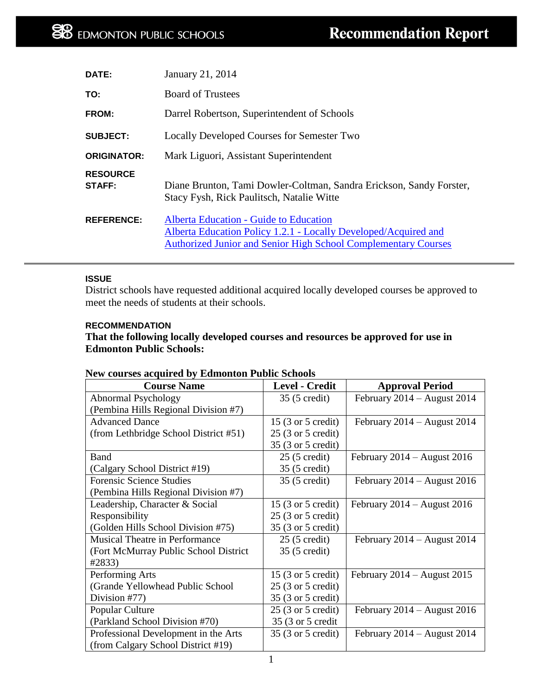| DATE:                     | January 21, 2014                                                                                                                                                                   |  |  |
|---------------------------|------------------------------------------------------------------------------------------------------------------------------------------------------------------------------------|--|--|
| TO:                       | <b>Board of Trustees</b>                                                                                                                                                           |  |  |
| FROM:                     | Darrel Robertson, Superintendent of Schools                                                                                                                                        |  |  |
| <b>SUBJECT:</b>           | <b>Locally Developed Courses for Semester Two</b>                                                                                                                                  |  |  |
| <b>ORIGINATOR:</b>        | Mark Liguori, Assistant Superintendent                                                                                                                                             |  |  |
| <b>RESOURCE</b><br>STAFF: | Diane Brunton, Tami Dowler-Coltman, Sandra Erickson, Sandy Forster,<br>Stacy Fysh, Rick Paulitsch, Natalie Witte                                                                   |  |  |
| <b>REFERENCE:</b>         | Alberta Education - Guide to Education<br>Alberta Education Policy 1.2.1 - Locally Developed/Acquired and<br><b>Authorized Junior and Senior High School Complementary Courses</b> |  |  |

#### **ISSUE**

District schools have requested additional acquired locally developed courses be approved to meet the needs of students at their schools.

#### **RECOMMENDATION**

# **That the following locally developed courses and resources be approved for use in Edmonton Public Schools:**

# **New courses acquired by Edmonton Public Schools**

| <b>Course Name</b>                     | <b>Level - Credit</b>                | <b>Approval Period</b>          |
|----------------------------------------|--------------------------------------|---------------------------------|
| Abnormal Psychology                    | 35 (5 credit)                        | February 2014 - August 2014     |
| (Pembina Hills Regional Division #7)   |                                      |                                 |
| <b>Advanced Dance</b>                  | 15 (3 or 5 credit)                   | February $2014 -$ August 2014   |
| (from Lethbridge School District #51)  | 25 (3 or 5 credit)                   |                                 |
|                                        | 35 (3 or 5 credit)                   |                                 |
| <b>Band</b>                            | $25(5 \text{ credit})$               | February $2014 -$ August $2016$ |
| (Calgary School District #19)          | 35 (5 credit)                        |                                 |
| <b>Forensic Science Studies</b>        | 35 (5 credit)                        | February $2014 -$ August $2016$ |
| (Pembina Hills Regional Division #7)   |                                      |                                 |
| Leadership, Character & Social         | 15 (3 or 5 credit)                   | February $2014 -$ August $2016$ |
| Responsibility                         | $25(3 \text{ or } 5 \text{ credit})$ |                                 |
| (Golden Hills School Division #75)     | 35 (3 or 5 credit)                   |                                 |
| Musical Theatre in Performance         | $25(5 \text{ credit})$               | February 2014 - August 2014     |
| (Fort McMurray Public School District) | 35 (5 credit)                        |                                 |
| #2833)                                 |                                      |                                 |
| Performing Arts                        | 15 (3 or 5 credit)                   | February 2014 - August 2015     |
| (Grande Yellowhead Public School)      | 25 (3 or 5 credit)                   |                                 |
| Division #77)                          | 35 (3 or 5 credit)                   |                                 |
| Popular Culture                        | $25(3 \text{ or } 5 \text{ credit})$ | February 2014 - August 2016     |
| (Parkland School Division #70)         | 35 (3 or 5 credit                    |                                 |
| Professional Development in the Arts   | 35 (3 or 5 credit)                   | February $2014 -$ August 2014   |
| (from Calgary School District #19)     |                                      |                                 |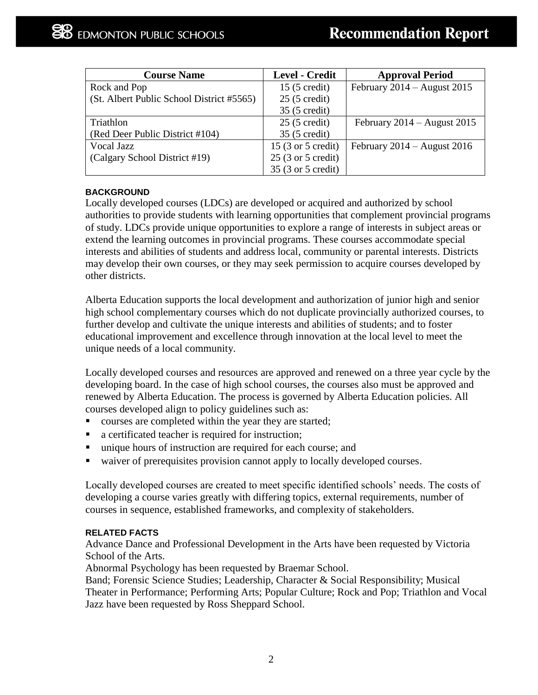| <b>Course Name</b>                        | Level - Credit                        | <b>Approval Period</b>          |
|-------------------------------------------|---------------------------------------|---------------------------------|
| Rock and Pop                              | $15(5 \text{ credit})$                | February $2014 -$ August $2015$ |
| (St. Albert Public School District #5565) | $25(5 \text{ credit})$                |                                 |
|                                           | 35 (5 credit)                         |                                 |
| Triathlon                                 | $25(5 \text{ credit})$                | February $2014 -$ August 2015   |
| (Red Deer Public District #104)           | 35 (5 credit)                         |                                 |
| Vocal Jazz                                | 15 $(3 \text{ or } 5 \text{ credit})$ | February $2014 -$ August 2016   |
| (Calgary School District #19)             | $25(3 \text{ or } 5 \text{ credit})$  |                                 |
|                                           | 35 (3 or 5 credit)                    |                                 |

## **BACKGROUND**

Locally developed courses (LDCs) are developed or acquired and authorized by school authorities to provide students with learning opportunities that complement provincial programs of study. LDCs provide unique opportunities to explore a range of interests in subject areas or extend the learning outcomes in provincial programs. These courses accommodate special interests and abilities of students and address local, community or parental interests. Districts may develop their own courses, or they may seek permission to acquire courses developed by other districts.

Alberta Education supports the local development and authorization of junior high and senior high school complementary courses which do not duplicate provincially authorized courses, to further develop and cultivate the unique interests and abilities of students; and to foster educational improvement and excellence through innovation at the local level to meet the unique needs of a local community.

Locally developed courses and resources are approved and renewed on a three year cycle by the developing board. In the case of high school courses, the courses also must be approved and renewed by Alberta Education. The process is governed by Alberta Education policies. All courses developed align to policy guidelines such as:

- courses are completed within the year they are started;
- a certificated teacher is required for instruction;
- unique hours of instruction are required for each course; and
- waiver of prerequisites provision cannot apply to locally developed courses.

Locally developed courses are created to meet specific identified schools' needs. The costs of developing a course varies greatly with differing topics, external requirements, number of courses in sequence, established frameworks, and complexity of stakeholders.

#### **RELATED FACTS**

Advance Dance and Professional Development in the Arts have been requested by Victoria School of the Arts.

Abnormal Psychology has been requested by Braemar School.

Band; Forensic Science Studies; Leadership, Character & Social Responsibility; Musical Theater in Performance; Performing Arts; Popular Culture; Rock and Pop; Triathlon and Vocal Jazz have been requested by Ross Sheppard School.